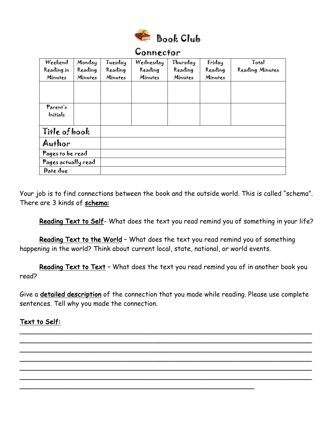

## Connector Weekend Reading in Minutes Monday Reading Minutes Tuesday Reading **Minutes** Wednesday Reading Minutes Thursday Reading **Minutes** Friday Reading Minutes Total Reading Minutes Parent's Initials Title of book Author Pages to be read Pages actually read Date due

Your job is to find connections between the book and the outside world. This is called "schema". There are 3 kinds of schema:

Reading Text to Self- What does the text you read remind you of something in your life?

Reading Text to the World - What does the text you read remind you of something happening in the world? Think about current local, state, national, or world events.

Reading Text to Text – What does the text you read remind you of in another book you read?

Give a detailed description of the connection that you made while reading. Please use complete sentences. Tell why you made the connection.

\_\_\_\_\_\_\_\_\_\_\_\_\_\_\_\_\_\_\_\_\_\_\_\_\_\_\_\_\_\_\_\_\_\_\_\_\_\_\_\_\_\_\_\_\_\_\_\_\_\_\_\_\_\_\_\_\_\_\_\_\_\_\_\_\_\_\_\_\_\_\_ \_\_\_\_\_\_\_\_\_\_\_\_\_\_\_\_\_\_\_\_\_\_\_\_\_\_\_\_\_\_\_\_\_\_\_\_\_\_\_\_\_\_\_\_\_\_\_\_\_\_\_\_\_\_\_\_\_\_\_\_\_\_\_\_\_\_\_\_\_\_\_ \_\_\_\_\_\_\_\_\_\_\_\_\_\_\_\_\_\_\_\_\_\_\_\_\_\_\_\_\_\_\_\_\_\_\_\_\_\_\_\_\_\_\_\_\_\_\_\_\_\_\_\_\_\_\_\_\_\_\_\_\_\_\_\_\_\_\_\_\_\_\_ \_\_\_\_\_\_\_\_\_\_\_\_\_\_\_\_\_\_\_\_\_\_\_\_\_\_\_\_\_\_\_\_\_\_\_\_\_\_\_\_\_\_\_\_\_\_\_\_\_\_\_\_\_\_\_\_\_\_\_\_\_\_\_\_\_\_\_\_\_\_\_ \_\_\_\_\_\_\_\_\_\_\_\_\_\_\_\_\_\_\_\_\_\_\_\_\_\_\_\_\_\_\_\_\_\_\_\_\_\_\_\_\_\_\_\_\_\_\_\_\_\_\_\_\_\_\_\_\_\_\_\_\_\_\_\_\_\_\_\_\_\_\_ \_\_\_\_\_\_\_\_\_\_\_\_\_\_\_\_\_\_\_\_\_\_\_\_\_\_\_\_\_\_\_\_\_\_\_\_\_\_\_\_\_\_\_\_\_\_\_\_\_\_\_\_\_\_\_\_\_\_\_\_\_\_\_\_\_\_\_\_\_\_\_

\_\_\_\_\_\_\_\_\_\_\_\_\_\_\_\_\_\_\_\_\_\_\_\_\_\_\_\_\_\_\_\_\_\_\_\_\_\_\_\_\_\_\_\_\_\_\_\_\_\_\_\_\_\_\_\_\_

## Text to Self: